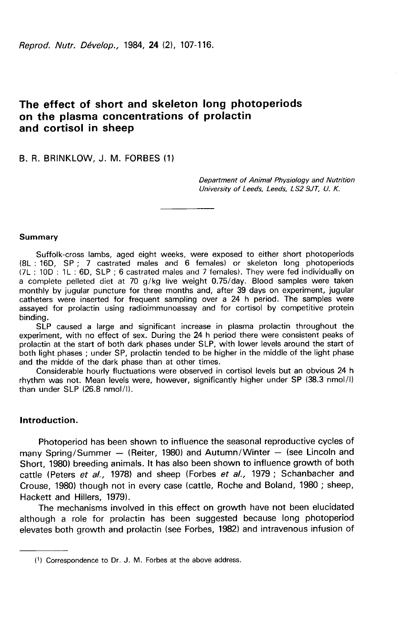# The effect of short and skeleton long photoperiods on the plasma concentrations of prolactin and cortisol in sheep

B. R. BRINKLOW, J. M. FORBES (1)

Department of Animal Physiology and Nutrition University of Leeds, Leeds, LS2 9JT, U. K.

#### Summary

Suffolk-cross lambs, aged eight weeks, were exposed to either short photoperiods (8L : 16D, SP ; 7 castrated males and 6 females) or skeleton long photoperiods (7L : 10D : 1 L : 6D, SLP ; 6 castrated males and 7 females). They were fed individually on a complete pelleted diet at 70 g/kg live weight 0.75/day. Blood samples were taken monthly by jugular puncture for three months and, after 39 days on experiment, jugular catheters were inserted for frequent sampling over a 24 h period. The samples were assayed for prolactin using radioimmunoassay and for cortisol by competitive protein binding.

SLP caused a large and significant increase in plasma prolactin throughout the experiment, with no effect of sex. During the 24 h period there were consistent peaks of prolactin at the start of both dark phases under SLP, with lower levels around the start of both light phases ; under SP, prolactin tended to be higher in the middle of the light phase and the midde of the dark phase than at other times.

Considerable hourly fluctuations were observed in cortisol levels but an obvious 24 h rhythm was not. Mean levels were, however, significantly higher under SP (38.3 nmol/I) than under SLP (26.8 nmol/1).

## Introduction.

Photoperiod has been shown to influence the seasonal reproductive cycles of many Spring/Summer — (Reiter, 1980) and Autumn/Winter — (see Lincoln and Short, 1980) breeding animals. It has also been shown to influence growth of both cattle (Peters et al., 1978) and sheep (Forbes et al., 1979; Schanbacher and Crouse, 1980) though not in every case (cattle, Roche and Boland, 1980 ; sheep, Hackett and Hillers, 1979).

The mechanisms involved in this effect on growth have not been elucidated although a role for prolactin has been suggested because long photoperiod elevates both growth and prolactin (see Forbes, 1982) and intravenous infusion of

<sup>(!)</sup> Correspondence to Dr. J. M. Forbes at the above address.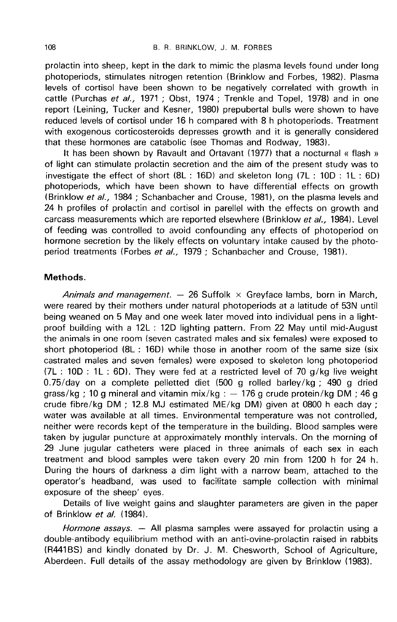prolactin into sheep, kept in the dark to mimic the plasma levels found under long photoperiods, stimulates nitrogen retention ( Brinklow and Forbes, 1982). Plasma levels of cortisol have been shown to be negatively correlated with growth in cattle (Purchas et al., 1971 ; Obst, 1974 ; Trenkle and Topel, 1978) and in one report (Leining, Tucker and Kesner, 1980) prepubertal bulls were shown to have reduced levels of cortisol under 16 h compared with 8 h photoperiods. Treatment with exogenous corticosteroids depresses growth and it is generally considered that these hormones are catabolic (see Thomas and Rodway, 1983).

It has been shown by Ravault and Ortavant (1977) that a nocturnal « flash » of light can stimulate prolactin secretion and the aim of the present study was to investigate the effect of short  $(8L : 16D)$  and skeleton long  $(7L : 10D : 1L : 6D)$ photoperiods, which have been shown to have differential effects on growth (Brinklow et al., 1984 ; Schanbacher and Crouse, 1981), on the plasma levels and 24 h profiles of prolactin and cortisol in parellel with the effects on growth and carcass measurements which are reported elsewhere (Brinklow et al., 1984). Level of feeding was controlled to avoid confounding any effects of photoperiod on hormone secretion by the likely effects on voluntary intake caused by the photoperiod treatments (Forbes et al., 1979 ; Schanbacher and Crouse, 1981).

## Methods.

Animals and management. — 26 Suffolk  $\times$  Greyface lambs, born in March, were reared by their mothers under natural photoperiods at a latitude of 53N until being weaned on 5 May and one week later moved into individual pens in a lightproof building with a 12L : 12D lighting pattern. From 22 May until mid-August the animals in one room (seven castrated males and six females) were exposed to short photoperiod (8L : 16D) while those in another room of the same size (six castrated males and seven females) were exposed to skeleton long photoperiod (7L : 10D : 1L : 6D). They were fed at a restricted level of 70 g/kg live weight 0.75/day on a complete pelletted diet (500 g rolled barley/kg ; 490 g dried grass/kg ; 10 g mineral and vitamin mix/kg :  $-$  176 g crude protein/kg DM ; 46 g crude fibre/kg DM ; 12.8 MJ estimated ME/kg DM) given at 0800 h each day ; water was available at all times. Environmental temperature was not controlled, neither were records kept of the temperature in the building. Blood samples were taken by jugular puncture at approximately monthly intervals. On the morning of 29 June jugular catheters were placed in three animals of each sex in each treatment and blood samples were taken every 20 min from 1200 h for 24 h. During the hours of darkness a dim light with a narrow beam, attached to the operator's headband, was used to facilitate sample collection with minimal exposure of the sheep' eyes.

Details of live weight gains and slaughter parameters are given in the paper of Brinklow et al. (1984).

Hormone assays.  $-$  All plasma samples were assayed for prolactin using a double-antibody equilibrium method with an anti-ovine-prolactin raised in rabbits (R441BS) and kindly donated by Dr. J. M. Chesworth, School of Agriculture, Aberdeen. Full details of the assay methodology are given by Brinklow (1983).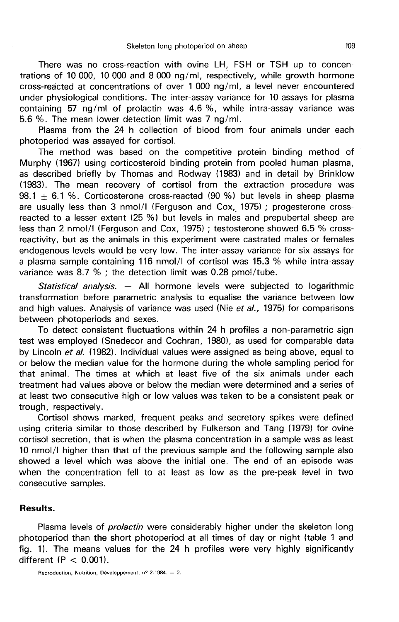There was no cross-reaction with ovine LH, FSH or TSH up to concentrations of 10 000, 10 000 and 8 000 ng/ml, respectively, while growth hormone cross-reacted at concentrations of over 1 000 ng/ml, a level never encountered under physiological conditions. The inter-assay variance for 10 assays for plasma containing 57 ng/ml of prolactin was 4.6 %, while intra-assay variance was 5.6 %. The mean lower detection limit was 7 ng/ml.

Plasma from the 24 h collection of blood from four animals under each photoperiod was assayed for cortisol.

The method was based on the competitive protein binding method of Murphy (1967) using corticosteroid binding protein from pooled human plasma, as described briefly by Thomas and Rodway (1983) and in detail by Brinklow (1983). The mean recovery of cortisol from the extraction procedure was 98.1 + 6.1 %. Corticosterone cross-reacted (90 %) but levels in sheep plasma are usually less than 3 nmol/I (Ferguson and Cox, 1975) ; progesterone crossreacted to a lesser extent (25 %) but levels in males and prepubertal sheep are less than 2 nmol/I (Ferguson and Cox, 1975) ; testosterone showed 6.5 % crossreactivity, but as the animals in this experiment were castrated males or females endogenous levels would be very low. The inter-assay variance for six assays for a plasma sample containing 116 nmol/I of cortisol was 15.3 % while intra-assay variance was 8.7 % ; the detection limit was 0.28 pmol/tube.

Statistical analysis. — All hormone levels were subjected to logarithmic transformation before parametric analysis to equalise the variance between low and high values. Analysis of variance was used (Nie et al., 1975) for comparisons between photoperiods and sexes.

To detect consistent fluctuations within 24 h profiles a non-parametric sign test was employed (Snedecor and Cochran, 1980), as used for comparable data by Lincoln *et al.* (1982). Individual values were assigned as being above, equal to or below the median value for the hormone during the whole sampling period for that animal. The times at which at least five of the six animals under each treatment had values above or below the median were determined and a series of at least two consecutive high or low values was taken to be a consistent peak or trough, respectively.

Cortisol shows marked, frequent peaks and secretory spikes were defined using criteria similar to those described by Fulkerson and Tang (1979) for ovine cortisol secretion, that is when the plasma concentration in a sample was as least 10 nmol/I higher than that of the previous sample and the following sample also showed a level which was above the initial one. The end of an episode was when the concentration fell to at least as low as the pre-peak level in two consecutive samples.

### Results.

Plasma levels of *prolactin* were considerably higher under the skeleton long photoperiod than the short photoperiod at all times of day or night (table 1 and fig. 1). The means values for the 24 h profiles were very highly significantly different  $(P < 0.001)$ .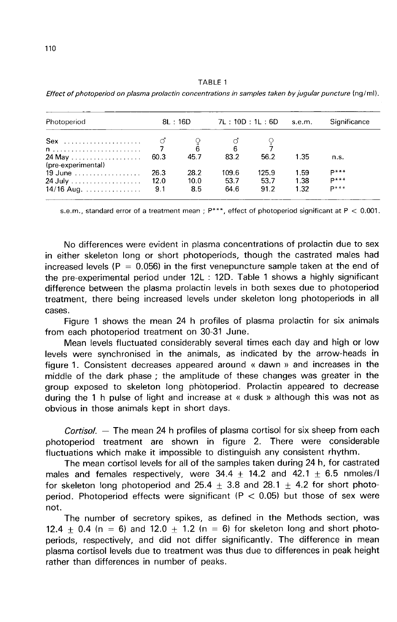| Photoperiod<br>$Sex$                                   | 8L: 16D |      | 7L: 10D: 1L: 6D |       | s.e.m. | Significance |
|--------------------------------------------------------|---------|------|-----------------|-------|--------|--------------|
|                                                        |         |      | $\frac{0}{6}$   |       |        |              |
| $n$ ,,,,,,,,,,,,,,,,,,,,,,,,,,,,<br>(pre-experimental) | 60.3    | 45.7 | 83.2            | 56.2  | 1.35   | n.s.         |
| 19 June                                                | 26.3    | 28.2 | 109.6           | 125.9 | 1.59   | $D***$       |
|                                                        | 12.0    | 10.0 | 53.7            | 53.7  | 1.38   | $D***$       |
| 14/16 Aug.                                             | 9.1     | 8.5  | 64.6            | 91.2  | 1.32   | $D***$       |

TABLE 1 Effect of photoperiod on plasma prolactin concentrations in samples taken by jugular puncture (nq/ml).

s.e.m., standard error of a treatment mean ;  $P***$ , effect of photoperiod significant at P < 0.001.

No differences were evident in plasma concentrations of prolactin due to sex in either skeleton long or short photoperiods, though the castrated males had increased levels ( $P = 0.056$ ) in the first venepuncture sample taken at the end of the pre-experimental period under 12L : 12D. Table 1 shows a highly significant difference between the plasma prolactin levels in both sexes due to photoperiod treatment, there being increased levels under skeleton long photoperiods in all cases.

Figure 1 shows the mean 24 h profiles of plasma prolactin for six animals from each photoperiod treatment on 30-31 June.

Mean levels fluctuated considerably several times each day and high or low levels were synchronised in the animals, as indicated by the arrow-heads in figure 1. Consistent decreases appeared around « dawn » and increases in the middle of the dark phase ; the amplitude of these changes was greater in the group exposed to skeleton long photoperiod. Prolactin appeared to decrease during the 1 h pulse of light and increase at « dusk » although this was not as obvious in those animals kept in short days.

Cortisol.  $-$  The mean 24 h profiles of plasma cortisol for six sheep from each photoperiod treatment are shown in figure 2. There were considerable fluctuations which make it impossible to distinguish any consistent rhythm.

The mean cortisol levels for all of the samples taken during 24 h, for castrated males and females respectively, were  $34.4 + 14.2$  and  $42.1 + 6.5$  nmoles/I for skeleton long photoperiod and 25.4  $+$  3.8 and 28.1  $\pm$  4.2 for short photoperiod. Photoperiod effects were significant ( $P < 0.05$ ) but those of sex were not.

The number of secretory spikes, as defined in the Methods section, was 12.4  $+$  0.4 (n = 6) and 12.0  $+$  1.2 (n = 6) for skeleton long and short photoperiods, respectively, and did not differ significantly. The difference in mean plasma cortisol levels due to treatment was thus due to differences in peak height rather than differences in number of peaks.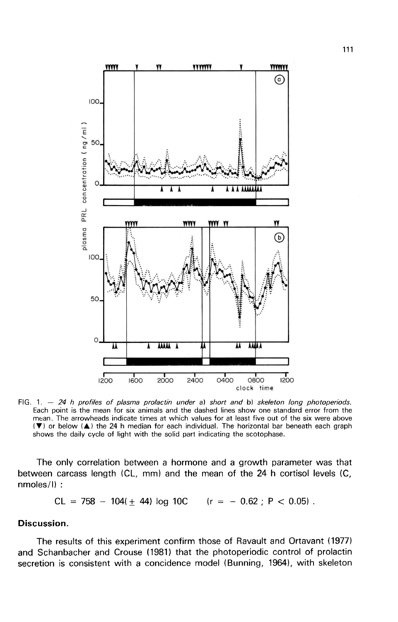

FIG. 1.  $-$  24 h profiles of plasma prolactin under a) short and b) skeleton long photoperiods. Each point is the mean for six animals and the dashed lines show one standard error from the mean. The arrowheads indicate times at which values for at least five out of the six were above (V) or below (A) the 24 h median for each individual. The horizontal bar beneath each graph shows the daily cycle of light with the solid part indicating the scotophase.

The only correlation between a hormone and a growth parameter was that between carcass length (CL, mm) and the mean of the 24 h cortisol levels (C, nmoles/I) :

 $CL = 758 - 104(+ 44)$  log 10C  $(r = -0.62 : P < 0.05)$ .

## Discussion.

The results of this experiment confirm those of Ravault and Ortavant (1977) and Schanbacher and Crouse (1981) that the photoperiodic control of prolactin secretion is consistent with a concidence model (Bunning, 1964), with skeleton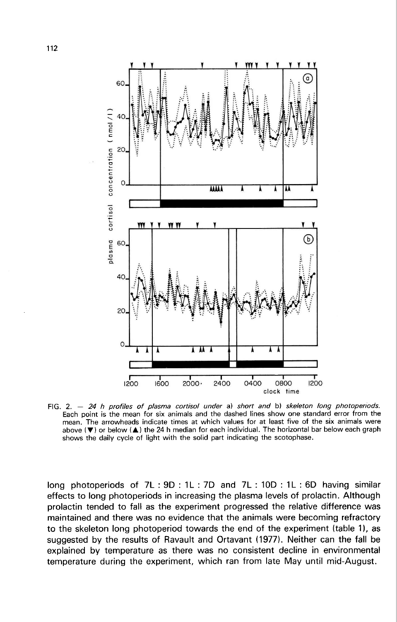

FIG,  $2. - 24$  h profiles of plasma cortisol under a) short and b) skeleton long photoperiods. Each point is the mean for six animals and the dashed lines show one standard error from the mean. The arrowheads indicate times at which values for at least five of the six animals were above  $(\blacktriangledown)$  or below  $(\blacktriangle)$  the 24 h median for each individual. The horizontal bar below each graph shows the daily cycle of light with the solid part indicating the scotophase.

long photoperiods of 7L : 9D : 1L : 7D and 7L : 10D : 1L : 6D having similar effects to long photoperiods in increasing the plasma levels of prolactin. Although prolactin tended to fall as the experiment progressed the relative difference was maintained and there was no evidence that the animals were becoming refractory to the skeleton long photoperiod towards the end of the experiment (table 1), as suggested by the results of Ravault and Ortavant (1977). Neither can the fall be explained by temperature as there was no consistent decline in environmental temperature during the experiment, which ran from late May until mid-August.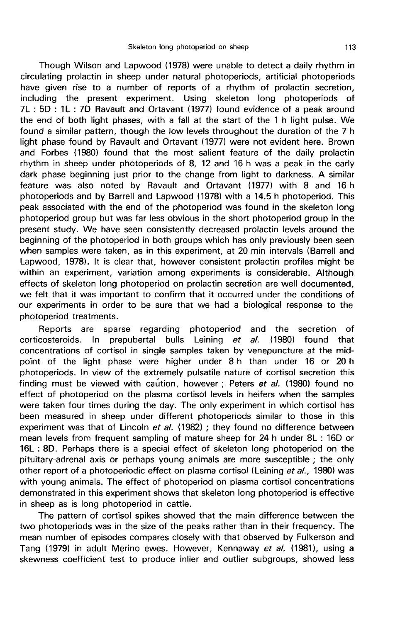Though Wilson and Lapwood (1978) were unable to detect a daily rhythm in circulating prolactin in sheep under natural photoperiods, artificial photoperiods have given rise to a number of reports of a rhythm of prolactin secretion, including the present experiment. Using skeleton long photoperiods of 7L : 5D : 1L : 7D Ravault and Ortavant (1977) found evidence of a peak around the end of both light phases, with a fall at the start of the 1 h light pulse. We found a similar pattern, though the low levels throughout the duration of the 7 h light phase found by Ravault and Ortavant (1977) were not evident here. Brown and Forbes (1980) found that the most salient feature of the daily prolactin rhythm in sheep under photoperiods of 8, 12 and 16 h was a peak in the early dark phase beginning just prior to the change from light to darkness. A similar feature was also noted by Ravault and Ortavant (1977) with 8 and 16 h photoperiods and by Barrell and Lapwood (1978) with a 14.5 h photoperiod. This peak associated with the end of the photoperiod was found in the skeleton long photoperiod group but was far less obvious in the short photoperiod group in the present study. We have seen consistently decreased prolactin levels around the beginning of the photoperiod in both groups which has only previously been seen when samples were taken, as in this experiment, at 20 min intervals (Barrell and Lapwood, 1978). It is clear that, however consistent prolactin profiles might be within an experiment, variation among experiments is considerable. Although effects of skeleton long photoperiod on prolactin secretion are well documented. we felt that it was important to confirm that it occurred under the conditions of our experiments in order to be sure that we had a biological response to the photoperiod treatments.

Reports are sparse regarding photoperiod and the secretion of<br>costeroids. In prepubertal bulls Leining *et al.* (1980) found that corticosteroids. In prepubertal bulls Leining et concentrations of cortisol in single samples taken by venepuncture at the midpoint of the light phase were higher under 8 h than under 16 or 20 h photoperiods. In view of the extremely pulsatile nature of cortisol secretion this finding must be viewed with caution, however ; Peters et al. (1980) found no effect of photoperiod on the plasma cortisol levels in heifers when the samples were taken four times during the day. The only experiment in which cortisol has been measured in sheep under different photoperiods similar to those in this experiment was that of Lincoln  $et$  al. (1982) ; they found no difference between mean levels from frequent sampling of mature sheep for 24 h under 8L : 16D or 16L : 8D. Perhaps there is a special effect of skeleton long photoperiod on the pituitary-adrenal axis or perhaps young animals are more susceptible ; the only other report of a photoperiodic effect on plasma cortisol (Leining et al., 1980) was with young animals. The effect of photoperiod on plasma cortisol concentrations demonstrated in this experiment shows that skeleton long photoperiod is effective in sheep as is long photoperiod in cattle.

The pattern of cortisol spikes showed that the main difference between the two photoperiods was in the size of the peaks rather than in their frequency. The mean number of episodes compares closely with that observed by Fulkerson and Tang (1979) in adult Merino ewes. However, Kennaway et al. (1981), using a skewness coefficient test to produce inlier and outlier subgroups, showed less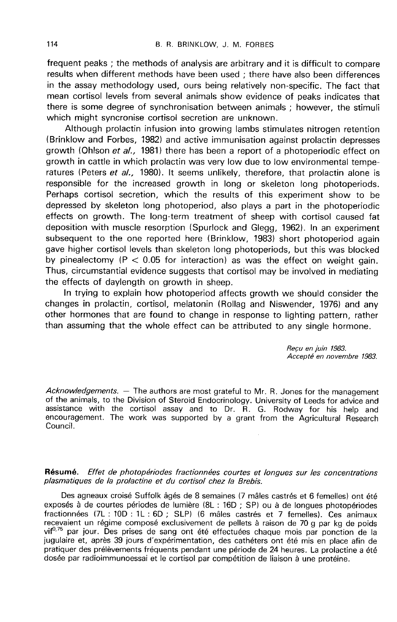frequent peaks ; the methods of analysis are arbitrary and it is difficult to compare results when different methods have been used ; there have also been differences in the assay methodology used, ours being relatively non-specific. The fact that mean cortisol levels from several animals show evidence of peaks indicates that there is some degree of synchronisation between animals ; however, the stimuli which might syncronise cortisol secretion are unknown.

Although prolactin infusion into growing lambs stimulates nitrogen retention (Brinklow and Forbes, 1982) and active immunisation against prolactin depresses growth (Ohlson et al., 1981) there has been a report of a photoperiodic effect on growth in cattle in which prolactin was very low due to low environmental temperatures (Peters et al., 1980). It seems unlikely, therefore, that prolactin alone is responsible for the increased growth in long or skeleton long photoperiods. Perhaps cortisol secretion, which the results of this experiment show to be depressed by skeleton long photoperiod, also plays a part in the photoperiodic effects on growth. The long-term treatment of sheep with cortisol caused fat deposition with muscle resorption (Spurlock and Glegg, 1962). In an experiment subsequent to the one reported here (Brinklow, 1983) short photoperiod again gave higher cortisol levels than skeleton long photoperiods, but this was blocked by pinealectomy ( $P < 0.05$  for interaction) as was the effect on weight gain. Thus, circumstantial evidence suggests that cortisol may be involved in mediating the effects of daylength on growth in sheep.

In trying to explain how photoperiod affects growth we should consider the changes in prolactin, cortisol, melatonin (Rollag and Niswender, 1976) and any other hormones that are found to change in response to lighting pattern, rather than assuming that the whole effect can be attributed to any single hormone.

> Recu en juin 1983. Accepte en novembre 1983.

Acknowledgements. — The authors are most grateful to Mr. R. Jones for the management of the animals, to the Division of Steroid Endocrinology. University of Leeds for advice and assistance with the cortisol assay and to Dr. R. G. Rodway for his help and encouragement. The work was supported by a grant from the Agricultural Research Council.

## Résumé. Effet de photopériodes fractionnées courtes et longues sur les concentrations plasmatiques de la prolactine et du cortisol chez la Brebis.

Des agneaux croisé Suffolk âgés de 8 semaines (7 mâles castrés et 6 femelles) ont été exposés à de courtes périodes de lumière (8L : 16D ; SP) ou à de longues photopériodes fractionnées (7L : 10D : 1L : 6D ; SLP) (6 mâles castrés et 7 femelles). Ces animaux recevaient un régime composé exclusivement de pellets à raison de 70 g par kg de poids vif<sup>0,75</sup> par jour. Des prises de sang ont été effectuées chaque mois par ponction de la jugulaire et, après 39 jours d'expérimentation, des cathéters ont été mis en place afin de pratiquer des prélèvements fréquents pendant une période de 24 heures. La prolactine a été dosée par radioimmunoessai et le cortisol par compétition de liaison à une protéine.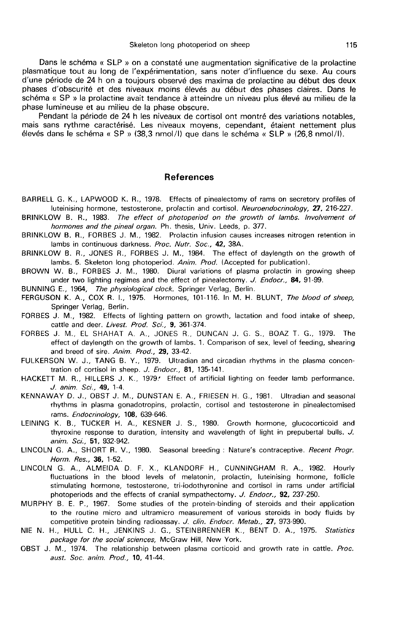Dans le schéma « SLP » on a constaté une augmentation significative de la prolactine plasmatique tout au long de l'expérimentation, sans noter d'influence du sexe. Au cours d'une période de 24 h on a toujours observé des maxima de prolactine au début des deux phases d'obscurité et des niveaux moins élevés au début des phases claires. Dans le schéma « SP » la prolactine avait tendance à atteindre un niveau plus élevé au milieu de la phase lumineuse et au milieu de la phase obscure.

Pendant la période de 24 h les niveaux de cortisol ont montré des variations notables, mais sans rythme caractérisé. Les niveaux moyens, cependant, étaient nettement plus élevés dans le schéma « SP » (38,3 nmol/1) que dans le schéma « SLP » (26,8 nmol/1).

### References

- BARRELL G. K., LAPWOOD K. R., 1978. Effects of pinealectomy of rams on secretory profiles of luteinising hormone, testosterone, prolactin and cortisol. Neuroendocrinology, 27, 216-227.
- BRINKLOW B. R., 1983. The effect of photoperiod on the growth of lambs. lnvolvement of hormones and the pineal organ. Ph. thesis, Univ. Leeds, p. 377.
- BRINKLOW B. R., FORBES J. M., 1982. Prolactin infusion causes increases nitrogen retention in lambs in continuous darkness. Proc. Nutr. Soc., 42, 38A.
- BRINKLOW B. R., JONES R., FORBES J. M., 1984. The effect of daylength on the growth of lambs. 5. Skeleton long photoperiod. Anim. Prod. (Accepted for publication).
- BROWN W. B., FORBES J. M., 1980. Diural variations of plasma prolactin in growing sheep under two lighting regimes and the effect of pinealectomy. J. Endocr., 84, 91-99.

BUNNING E., 1964, The physiological clock. Springer Verlag, Berlin.

- FERGUSON K. A., COX R. I., 1975. Hormones, 101-116. In M. H. BLUNT, The blood of sheep, Springer Verlag, Berlin.
- FORBES J. M., 1982. Effects of lighting pattern on growth, lactation and food intake of sheep, cattle and deer. Livest. Prod. Sci., 9. 361-374.
- FORBES J. M., EL SHAHAT A. A., JONES R., DUNCAN J. G. S., BOAZ T. G., 1979. The effect of daylength on the growth of lambs. 1. Comparison of sex, level of feeding, shearing and breed of sire. Anim. Prod., 29, 33-42.
- FULKERSON W. J., TANG B. Y., 1979. Ultradian and circadian rhythms in the plasma concentration of cortisol in sheep. J. Endocr., 81, 135-141.
- HACKETT M. R., HILLERS J. K., 1979.' Effect of artificial lighting on feeder lamb performance. J. anim. Sci., 49, 1-4.
- KENNAWAY D. J., OBST J. M., DUNSTAN E. A., FRIESEN H. G., 1981. Ultradian and seasonal rhythms in plasma gonadotropins, prolactin, cortisol and testosterone in pinealectomised rams. Endocrinology, 108, 639-646.
- LEINING K. B., TUCKER H. A., KESNER J. S., 1980. Growth hormone, glucocorticoid and thyroxine response to duration, intensity and wavelength of light in prepubertal bulls. J. anim. Sci., 51, 932-942.
- LINCOLN G. A., SHORT R. V., 1980. Seasonal breeding : Nature's contraceptive. Recent Progr. Horm. Res., 36, 1-52.
- LINCOLN G. A., ALMEIDA D. F. X., KLANDORF H., CUNNINGHAM R. A., 1982. Hourly fluctuations in the blood levels of melatonin, prolactin, luteinising hormone, follicle stimulating hormone, testosterone, tri-iodothyronine and cortisol in rams under artificial photoperiods and the effects of cranial sympathectomy. J. Endocr., 92, 237-250.
- MURPHY B. E. P., 1967. Some studies of the protein-binding of steroids and their application to the routine micro and ultramicro measurement of various steroids in body fluids by competitive protein binding radioassay. J. clin. Endocr. Metab., 27, 973-990.
- NIE N. H., HULL C. H., JENKINS J. G., STEINBRENNER K., BENT D. A., 1975. Statistics package for the social sciences, McGraw Hill, New York.
- OBST J. M., 1974. The relationship between plasma corticoid and growth rate in cattle. Proc. aust. Soc. anim. Prod., 10, 41-44.